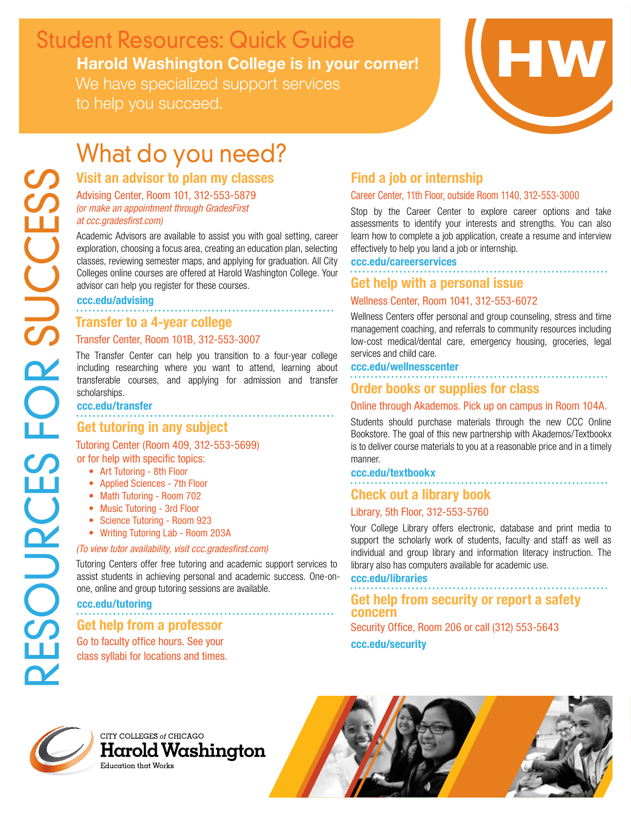# Harold Washington College is in your corner! We have specialized support services Student Resources: Quick Guide

to help you succeed.



# What do you need?

# Visit an advisor to plan my classes

Advising Center, Room 101, 312-553-5879 *(or make an appointment through GradesFirst at ccc.gradesfirst.com)*

Academic Advisors are available to assist you with goal setting, career exploration, choosing a focus area, creating an education plan, selecting classes, reviewing semester maps, and applying for graduation. All City Colleges online courses are offered at Harold Washington College. Your advisor can help you register for these courses.

. . . . . . . . . . . . . . . . . . .

#### ccc.edu/advising

# Transfer to a 4-year college

## Transfer Center, Room 101B, 312-553-3007

The Transfer Center can help you transition to a four-year college including researching where you want to attend, learning about transferable courses, and applying for admission and transfer scholarships.

# ccc.edu/transfer Get tutoring in any subject

Tutoring Center (Room 409, 312-553-5699)

- or for help with specific topics:
	- Art Tutoring 8th Floor
	- Applied Sciences 7th Floor
	- Math Tutoring Room 702
	- Music Tutoring 3rd Floor
	- Science Tutoring Room 923
	- Writing Tutoring Lab Room 203A

### *(To view tutor availability, visit ccc.gradesfirst.com)*

Tutoring Centers offer free tutoring and academic support services to assist students in achieving personal and academic success. One-onone, online and group tutoring sessions are available.

### ccc.edu/tutoring

# Get help from a professor

Go to faculty office hours. See your class syllabi for locations and times.

# Find a job or internship

### Career Center, 11th Floor, outside Room 1140, 312-553-3000

Stop by the Career Center to explore career options and take assessments to identify your interests and strengths. You can also learn how to complete a job application, create a resume and interview effectively to help you land a job or internship.

#### ccc.edu/careerservices

# Get help with a personal issue

### Wellness Center, Room 1041, 312-553-6072

Wellness Centers offer personal and group counseling, stress and time management coaching, and referrals to community resources including low-cost medical/dental care, emergency housing, groceries, legal services and child care.

#### ccc.edu/wellnesscenter

## Order books or supplies for class

### Online through Akademos. Pick up on campus in Room 104A.

Students should purchase materials through the new CCC Online Bookstore. The goal of this new partnership with Akademos/Textbookx is to deliver course materials to you at a reasonable price and in a timely manner.

#### ccc.edu/textbookx

# Check out a library book

### Library, 5th Floor, 312-553-5760

Your College Library offers electronic, database and print media to support the scholarly work of students, faculty and staff as well as individual and group library and information literacy instruction. The library also has computers available for academic use.

#### ccc.edu/libraries

Get help from security or report a safety concern Security Office, Room 206 or call (312) 553-5643 ccc.edu/security

CITY COLLEGES of CHICAGO Harold Washington Education that Works